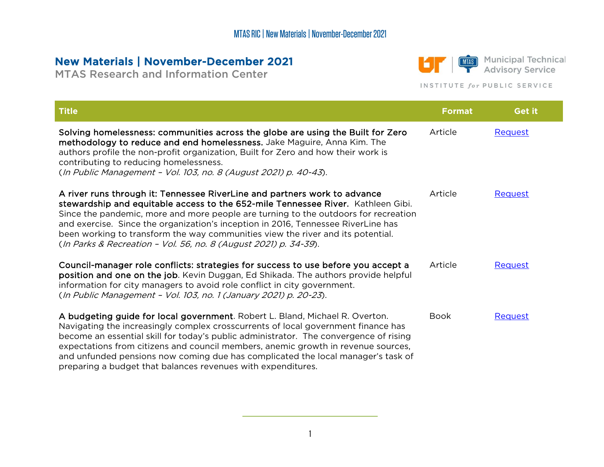## New Materials | November-December 2021

MTAS Research and Information Center



**MIAS** Municipal Technical<br>
Advisory Service

## INSTITUTE for PUBLIC SERVICE

| <b>Title</b>                                                                                                                                                                                                                                                                                                                                                                                                                                                                                        | <b>Format</b> | Get it         |
|-----------------------------------------------------------------------------------------------------------------------------------------------------------------------------------------------------------------------------------------------------------------------------------------------------------------------------------------------------------------------------------------------------------------------------------------------------------------------------------------------------|---------------|----------------|
| Solving homelessness: communities across the globe are using the Built for Zero<br>methodology to reduce and end homelessness. Jake Maguire, Anna Kim. The<br>authors profile the non-profit organization, Built for Zero and how their work is<br>contributing to reducing homelessness.<br>(In Public Management - Vol. 103, no. 8 (August 2021) p. 40-43).                                                                                                                                       | Article       | <b>Request</b> |
| A river runs through it: Tennessee RiverLine and partners work to advance<br>stewardship and equitable access to the 652-mile Tennessee River. Kathleen Gibi.<br>Since the pandemic, more and more people are turning to the outdoors for recreation<br>and exercise. Since the organization's inception in 2016, Tennessee RiverLine has<br>been working to transform the way communities view the river and its potential.<br>(In Parks & Recreation - Vol. 56, no. 8 (August 2021) p. 34-39).    | Article       | <b>Request</b> |
| Council-manager role conflicts: strategies for success to use before you accept a<br>position and one on the job. Kevin Duggan, Ed Shikada. The authors provide helpful<br>information for city managers to avoid role conflict in city government.<br>(In Public Management - Vol. 103, no. 1 (January 2021) p. 20-23).                                                                                                                                                                            | Article       | <b>Request</b> |
| A budgeting guide for local government. Robert L. Bland, Michael R. Overton.<br>Navigating the increasingly complex crosscurrents of local government finance has<br>become an essential skill for today's public administrator. The convergence of rising<br>expectations from citizens and council members, anemic growth in revenue sources,<br>and unfunded pensions now coming due has complicated the local manager's task of<br>preparing a budget that balances revenues with expenditures. | <b>Book</b>   | <b>Request</b> |